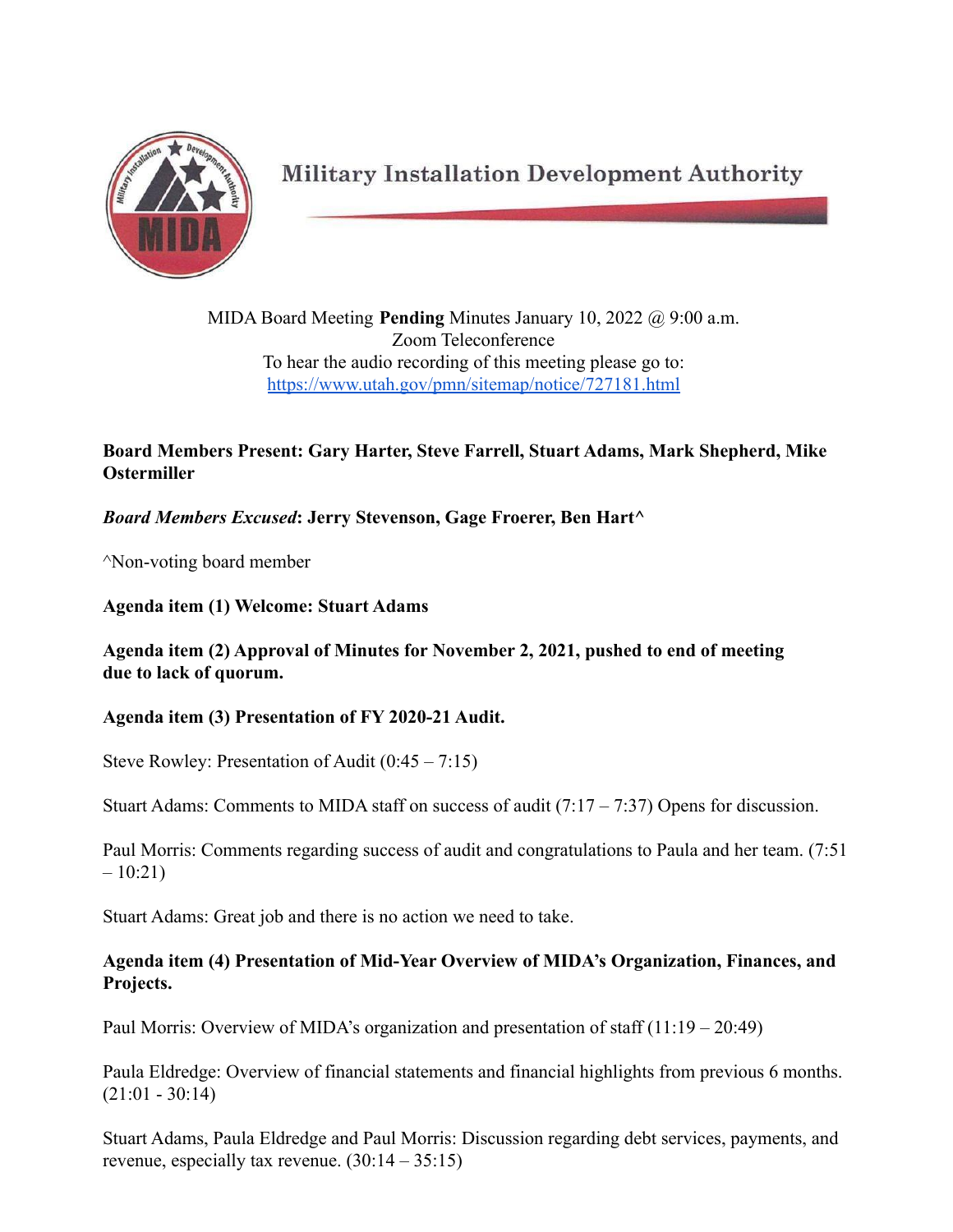

**Military Installation Development Authority** 

MIDA Board Meeting **Pending** Minutes January 10, 2022 @ 9:00 a.m. Zoom Teleconference To hear the audio recording of this meeting please go to: <https://www.utah.gov/pmn/sitemap/notice/727181.html>

## **Board Members Present: Gary Harter, Steve Farrell, Stuart Adams, Mark Shepherd, Mike Ostermiller**

# *Board Members Excused***: Jerry Stevenson, Gage Froerer, Ben Hart^**

^Non-voting board member

#### **Agenda item (1) Welcome: Stuart Adams**

### **Agenda item (2) Approval of Minutes for November 2, 2021, pushed to end of meeting due to lack of quorum.**

### **Agenda item (3) Presentation of FY 2020-21 Audit.**

Steve Rowley: Presentation of Audit (0:45 – 7:15)

Stuart Adams: Comments to MIDA staff on success of audit  $(7.17 - 7.37)$  Opens for discussion.

Paul Morris: Comments regarding success of audit and congratulations to Paula and her team. (7:51  $-10:21$ 

Stuart Adams: Great job and there is no action we need to take.

### **Agenda item (4) Presentation of Mid-Year Overview of MIDA's Organization, Finances, and Projects.**

Paul Morris: Overview of MIDA's organization and presentation of staff  $(11:19 - 20:49)$ 

Paula Eldredge: Overview of financial statements and financial highlights from previous 6 months.  $(21:01 - 30:14)$ 

Stuart Adams, Paula Eldredge and Paul Morris: Discussion regarding debt services, payments, and revenue, especially tax revenue. (30:14 – 35:15)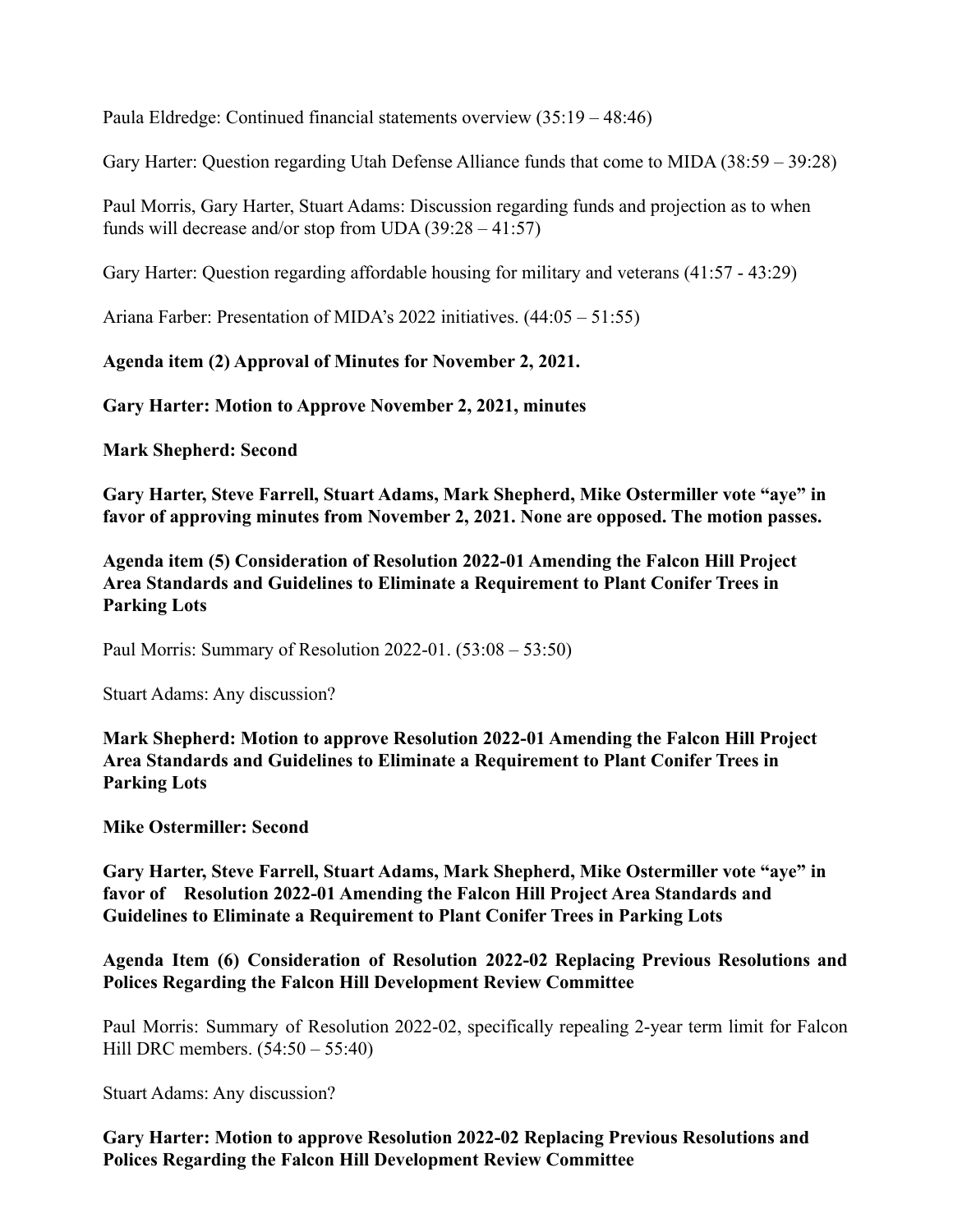Paula Eldredge: Continued financial statements overview (35:19 – 48:46)

Gary Harter: Question regarding Utah Defense Alliance funds that come to MIDA (38:59 – 39:28)

Paul Morris, Gary Harter, Stuart Adams: Discussion regarding funds and projection as to when funds will decrease and/or stop from UDA  $(39:28 - 41:57)$ 

Gary Harter: Question regarding affordable housing for military and veterans (41:57 - 43:29)

Ariana Farber: Presentation of MIDA's 2022 initiatives. (44:05 – 51:55)

**Agenda item (2) Approval of Minutes for November 2, 2021.**

**Gary Harter: Motion to Approve November 2, 2021, minutes**

**Mark Shepherd: Second**

**Gary Harter, Steve Farrell, Stuart Adams, Mark Shepherd, Mike Ostermiller vote "aye" in favor of approving minutes from November 2, 2021. None are opposed. The motion passes.**

**Agenda item (5) Consideration of Resolution 2022-01 Amending the Falcon Hill Project Area Standards and Guidelines to Eliminate a Requirement to Plant Conifer Trees in Parking Lots**

Paul Morris: Summary of Resolution 2022-01. (53:08 – 53:50)

Stuart Adams: Any discussion?

**Mark Shepherd: Motion to approve Resolution 2022-01 Amending the Falcon Hill Project Area Standards and Guidelines to Eliminate a Requirement to Plant Conifer Trees in Parking Lots**

**Mike Ostermiller: Second**

**Gary Harter, Steve Farrell, Stuart Adams, Mark Shepherd, Mike Ostermiller vote "aye" in favor of Resolution 2022-01 Amending the Falcon Hill Project Area Standards and Guidelines to Eliminate a Requirement to Plant Conifer Trees in Parking Lots**

### **Agenda Item (6) Consideration of Resolution 2022-02 Replacing Previous Resolutions and Polices Regarding the Falcon Hill Development Review Committee**

Paul Morris: Summary of Resolution 2022-02, specifically repealing 2-year term limit for Falcon Hill DRC members. (54:50 – 55:40)

Stuart Adams: Any discussion?

**Gary Harter: Motion to approve Resolution 2022-02 Replacing Previous Resolutions and Polices Regarding the Falcon Hill Development Review Committee**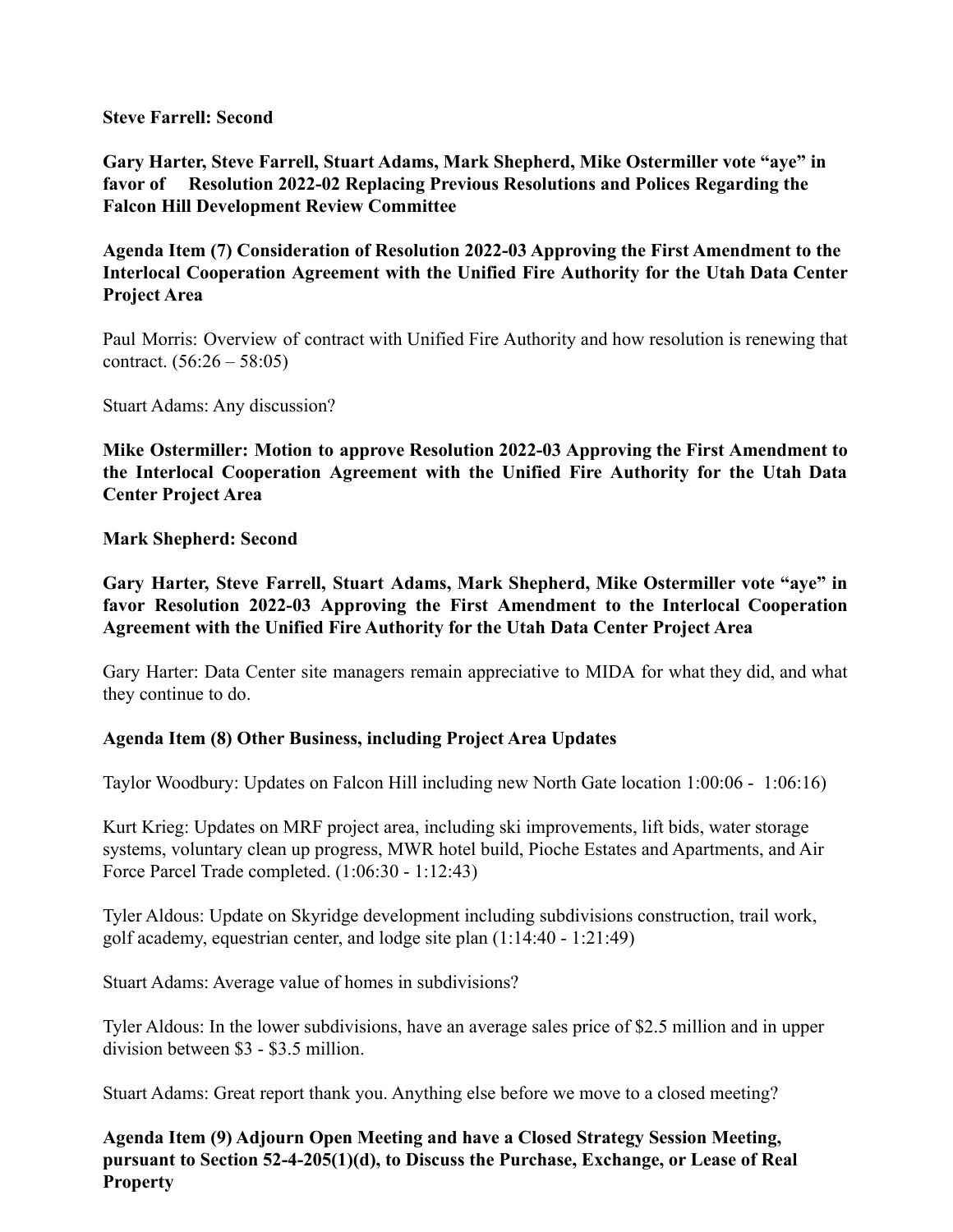**Steve Farrell: Second**

**Gary Harter, Steve Farrell, Stuart Adams, Mark Shepherd, Mike Ostermiller vote "aye" in favor of Resolution 2022-02 Replacing Previous Resolutions and Polices Regarding the Falcon Hill Development Review Committee**

**Agenda Item (7) Consideration of Resolution 2022-03 Approving the First Amendment to the Interlocal Cooperation Agreement with the Unified Fire Authority for the Utah Data Center Project Area**

Paul Morris: Overview of contract with Unified Fire Authority and how resolution is renewing that contract.  $(56:26 - 58:05)$ 

Stuart Adams: Any discussion?

**Mike Ostermiller: Motion to approve Resolution 2022-03 Approving the First Amendment to the Interlocal Cooperation Agreement with the Unified Fire Authority for the Utah Data Center Project Area**

**Mark Shepherd: Second**

**Gary Harter, Steve Farrell, Stuart Adams, Mark Shepherd, Mike Ostermiller vote "aye" in favor Resolution 2022-03 Approving the First Amendment to the Interlocal Cooperation Agreement with the Unified Fire Authority for the Utah Data Center Project Area**

Gary Harter: Data Center site managers remain appreciative to MIDA for what they did, and what they continue to do.

### **Agenda Item (8) Other Business, including Project Area Updates**

Taylor Woodbury: Updates on Falcon Hill including new North Gate location 1:00:06 - 1:06:16)

Kurt Krieg: Updates on MRF project area, including ski improvements, lift bids, water storage systems, voluntary clean up progress, MWR hotel build, Pioche Estates and Apartments, and Air Force Parcel Trade completed. (1:06:30 - 1:12:43)

Tyler Aldous: Update on Skyridge development including subdivisions construction, trail work, golf academy, equestrian center, and lodge site plan (1:14:40 - 1:21:49)

Stuart Adams: Average value of homes in subdivisions?

Tyler Aldous: In the lower subdivisions, have an average sales price of \$2.5 million and in upper division between \$3 - \$3.5 million.

Stuart Adams: Great report thank you. Anything else before we move to a closed meeting?

**Agenda Item (9) Adjourn Open Meeting and have a Closed Strategy Session Meeting, pursuant to Section 52-4-205(1)(d), to Discuss the Purchase, Exchange, or Lease of Real Property**